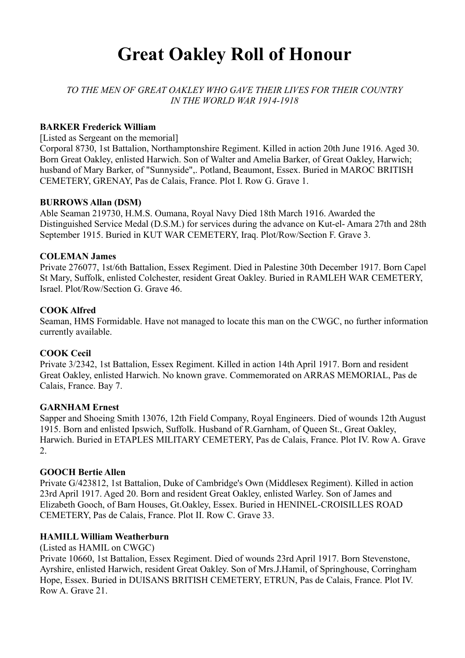# **Great Oakley Roll of Honour**

*TO THE MEN OF GREAT OAKLEY WHO GAVE THEIR LIVES FOR THEIR COUNTRY IN THE WORLD WAR 1914-1918* 

#### **BARKER Frederick William**

[Listed as Sergeant on the memorial]

Corporal 8730, 1st Battalion, Northamptonshire Regiment. Killed in action 20th June 1916. Aged 30. Born Great Oakley, enlisted Harwich. Son of Walter and Amelia Barker, of Great Oakley, Harwich; husband of Mary Barker, of "Sunnyside",. Potland, Beaumont, Essex. Buried in MAROC BRITISH CEMETERY, GRENAY, Pas de Calais, France. Plot I. Row G. Grave 1.

#### **BURROWS Allan (DSM)**

Able Seaman 219730, H.M.S. Oumana, Royal Navy Died 18th March 1916. Awarded the Distinguished Service Medal (D.S.M.) for services during the advance on Kut-el- Amara 27th and 28th September 1915. Buried in KUT WAR CEMETERY, Iraq. Plot/Row/Section F. Grave 3.

#### **COLEMAN James**

Private 276077, 1st/6th Battalion, Essex Regiment. Died in Palestine 30th December 1917. Born Capel St Mary, Suffolk, enlisted Colchester, resident Great Oakley. Buried in RAMLEH WAR CEMETERY, Israel. Plot/Row/Section G. Grave 46.

#### **COOK Alfred**

Seaman, HMS Formidable. Have not managed to locate this man on the CWGC, no further information currently available.

#### **COOK Cecil**

Private 3/2342, 1st Battalion, Essex Regiment. Killed in action 14th April 1917. Born and resident Great Oakley, enlisted Harwich. No known grave. Commemorated on ARRAS MEMORIAL, Pas de Calais, France. Bay 7.

#### **GARNHAM Ernest**

Sapper and Shoeing Smith 13076, 12th Field Company, Royal Engineers. Died of wounds 12th August 1915. Born and enlisted Ipswich, Suffolk. Husband of R.Garnham, of Queen St., Great Oakley, Harwich. Buried in ETAPLES MILITARY CEMETERY, Pas de Calais, France. Plot IV. Row A. Grave  $\mathcal{L}$ 

#### **GOOCH Bertie Allen**

Private G/423812, 1st Battalion, Duke of Cambridge's Own (Middlesex Regiment). Killed in action 23rd April 1917. Aged 20. Born and resident Great Oakley, enlisted Warley. Son of James and Elizabeth Gooch, of Barn Houses, Gt.Oakley, Essex. Buried in HENINEL-CROISILLES ROAD CEMETERY, Pas de Calais, France. Plot II. Row C. Grave 33.

#### **HAMILL William Weatherburn**

(Listed as HAMIL on CWGC)

Private 10660, 1st Battalion, Essex Regiment. Died of wounds 23rd April 1917. Born Stevenstone, Ayrshire, enlisted Harwich, resident Great Oakley. Son of Mrs.J.Hamil, of Springhouse, Corringham Hope, Essex. Buried in DUISANS BRITISH CEMETERY, ETRUN, Pas de Calais, France. Plot IV. Row A. Grave 21.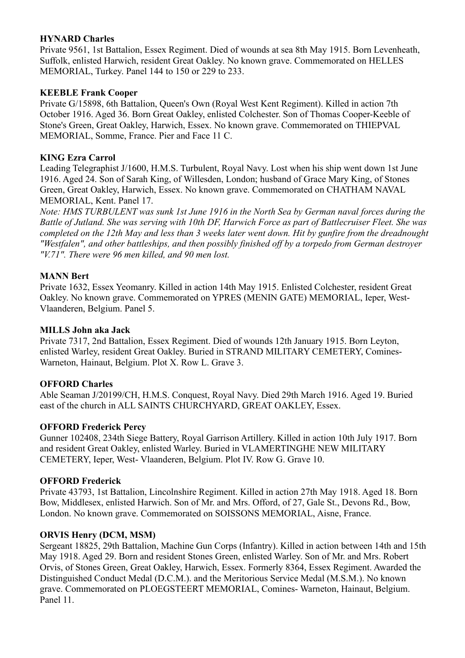# **HYNARD Charles**

Private 9561, 1st Battalion, Essex Regiment. Died of wounds at sea 8th May 1915. Born Levenheath, Suffolk, enlisted Harwich, resident Great Oakley. No known grave. Commemorated on HELLES MEMORIAL, Turkey. Panel 144 to 150 or 229 to 233.

# **KEEBLE Frank Cooper**

Private G/15898, 6th Battalion, Queen's Own (Royal West Kent Regiment). Killed in action 7th October 1916. Aged 36. Born Great Oakley, enlisted Colchester. Son of Thomas Cooper-Keeble of Stone's Green, Great Oakley, Harwich, Essex. No known grave. Commemorated on THIEPVAL MEMORIAL, Somme, France. Pier and Face 11 C.

# **KING Ezra Carrol**

Leading Telegraphist J/1600, H.M.S. Turbulent, Royal Navy. Lost when his ship went down 1st June 1916. Aged 24. Son of Sarah King, of Willesden, London; husband of Grace Mary King, of Stones Green, Great Oakley, Harwich, Essex. No known grave. Commemorated on CHATHAM NAVAL MEMORIAL, Kent. Panel 17.

*Note: HMS TURBULENT was sunk 1st June 1916 in the North Sea by German naval forces during the Battle of Jutland. She was serving with 10th DF, Harwich Force as part of Battlecruiser Fleet. She was completed on the 12th May and less than 3 weeks later went down. Hit by gunfire from the dreadnought "Westfalen", and other battleships, and then possibly finished off by a torpedo from German destroyer "V.71". There were 96 men killed, and 90 men lost.*

# **MANN Bert**

Private 1632, Essex Yeomanry. Killed in action 14th May 1915. Enlisted Colchester, resident Great Oakley. No known grave. Commemorated on YPRES (MENIN GATE) MEMORIAL, Ieper, West-Vlaanderen, Belgium. Panel 5.

#### **MILLS John aka Jack**

Private 7317, 2nd Battalion, Essex Regiment. Died of wounds 12th January 1915. Born Leyton, enlisted Warley, resident Great Oakley. Buried in STRAND MILITARY CEMETERY, Comines-Warneton, Hainaut, Belgium. Plot X. Row L. Grave 3.

# **OFFORD Charles**

Able Seaman J/20199/CH, H.M.S. Conquest, Royal Navy. Died 29th March 1916. Aged 19. Buried east of the church in ALL SAINTS CHURCHYARD, GREAT OAKLEY, Essex.

# **OFFORD Frederick Percy**

Gunner 102408, 234th Siege Battery, Royal Garrison Artillery. Killed in action 10th July 1917. Born and resident Great Oakley, enlisted Warley. Buried in VLAMERTINGHE NEW MILITARY CEMETERY, Ieper, West- Vlaanderen, Belgium. Plot IV. Row G. Grave 10.

# **OFFORD Frederick**

Private 43793, 1st Battalion, Lincolnshire Regiment. Killed in action 27th May 1918. Aged 18. Born Bow, Middlesex, enlisted Harwich. Son of Mr. and Mrs. Offord, of 27, Gale St., Devons Rd., Bow, London. No known grave. Commemorated on SOISSONS MEMORIAL, Aisne, France.

# **ORVIS Henry (DCM, MSM)**

Sergeant 18825, 29th Battalion, Machine Gun Corps (Infantry). Killed in action between 14th and 15th May 1918. Aged 29. Born and resident Stones Green, enlisted Warley. Son of Mr. and Mrs. Robert Orvis, of Stones Green, Great Oakley, Harwich, Essex. Formerly 8364, Essex Regiment. Awarded the Distinguished Conduct Medal (D.C.M.). and the Meritorious Service Medal (M.S.M.). No known grave. Commemorated on PLOEGSTEERT MEMORIAL, Comines- Warneton, Hainaut, Belgium. Panel 11.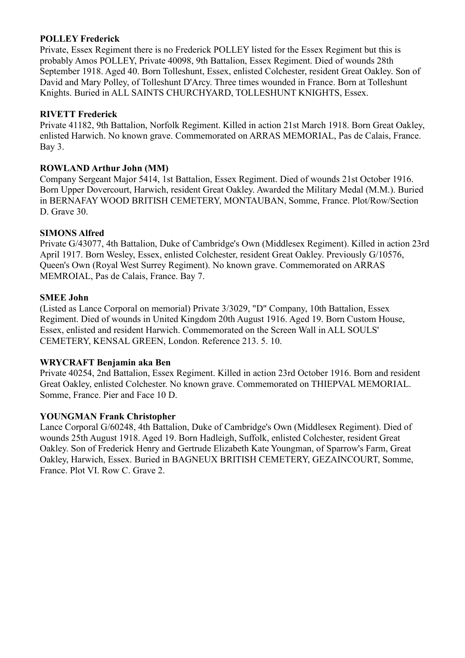#### **POLLEY Frederick**

Private, Essex Regiment there is no Frederick POLLEY listed for the Essex Regiment but this is probably Amos POLLEY, Private 40098, 9th Battalion, Essex Regiment. Died of wounds 28th September 1918. Aged 40. Born Tolleshunt, Essex, enlisted Colchester, resident Great Oakley. Son of David and Mary Polley, of Tolleshunt D'Arcy. Three times wounded in France. Born at Tolleshunt Knights. Buried in ALL SAINTS CHURCHYARD, TOLLESHUNT KNIGHTS, Essex.

# **RIVETT Frederick**

Private 41182, 9th Battalion, Norfolk Regiment. Killed in action 21st March 1918. Born Great Oakley, enlisted Harwich. No known grave. Commemorated on ARRAS MEMORIAL, Pas de Calais, France. Bay 3.

### **ROWLAND Arthur John (MM)**

Company Sergeant Major 5414, 1st Battalion, Essex Regiment. Died of wounds 21st October 1916. Born Upper Dovercourt, Harwich, resident Great Oakley. Awarded the Military Medal (M.M.). Buried in BERNAFAY WOOD BRITISH CEMETERY, MONTAUBAN, Somme, France. Plot/Row/Section D. Grave 30.

#### **SIMONS Alfred**

Private G/43077, 4th Battalion, Duke of Cambridge's Own (Middlesex Regiment). Killed in action 23rd April 1917. Born Wesley, Essex, enlisted Colchester, resident Great Oakley. Previously G/10576, Queen's Own (Royal West Surrey Regiment). No known grave. Commemorated on ARRAS MEMROIAL, Pas de Calais, France. Bay 7.

#### **SMEE John**

(Listed as Lance Corporal on memorial) Private 3/3029, "D" Company, 10th Battalion, Essex Regiment. Died of wounds in United Kingdom 20th August 1916. Aged 19. Born Custom House, Essex, enlisted and resident Harwich. Commemorated on the Screen Wall in ALL SOULS' CEMETERY, KENSAL GREEN, London. Reference 213. 5. 10.

#### **WRYCRAFT Benjamin aka Ben**

Private 40254, 2nd Battalion, Essex Regiment. Killed in action 23rd October 1916. Born and resident Great Oakley, enlisted Colchester. No known grave. Commemorated on THIEPVAL MEMORIAL. Somme, France. Pier and Face 10 D.

# **YOUNGMAN Frank Christopher**

Lance Corporal G/60248, 4th Battalion, Duke of Cambridge's Own (Middlesex Regiment). Died of wounds 25th August 1918. Aged 19. Born Hadleigh, Suffolk, enlisted Colchester, resident Great Oakley. Son of Frederick Henry and Gertrude Elizabeth Kate Youngman, of Sparrow's Farm, Great Oakley, Harwich, Essex. Buried in BAGNEUX BRITISH CEMETERY, GEZAINCOURT, Somme, France. Plot VI. Row C. Grave 2.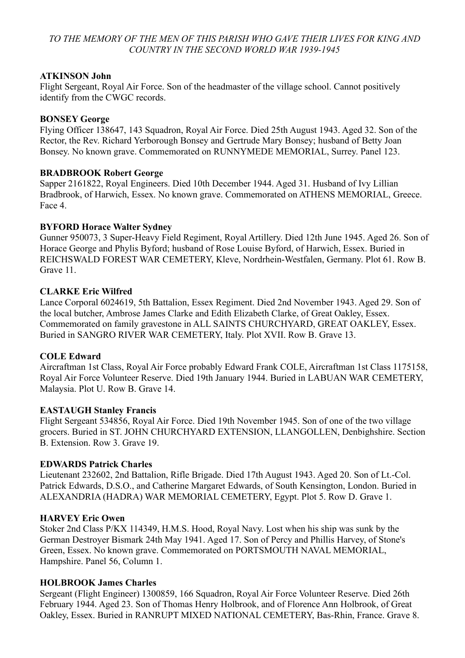# TO THE MEMORY OF THE MEN OF THIS PARISH WHO GAVE THEIR LIVES FOR KING AND *COUNTRY IN THE SECOND WORLD WAR 1939-1945*

#### **ATKINSON John**

Flight Sergeant, Royal Air Force. Son of the headmaster of the village school. Cannot positively identify from the CWGC records.

#### **BONSEY George**

Flying Officer 138647, 143 Squadron, Royal Air Force. Died 25th August 1943. Aged 32. Son of the Rector, the Rev. Richard Yerborough Bonsey and Gertrude Mary Bonsey; husband of Betty Joan Bonsey. No known grave. Commemorated on RUNNYMEDE MEMORIAL, Surrey. Panel 123.

#### **BRADBROOK Robert George**

Sapper 2161822, Royal Engineers. Died 10th December 1944. Aged 31. Husband of Ivy Lillian Bradbrook, of Harwich, Essex. No known grave. Commemorated on ATHENS MEMORIAL, Greece. Face 4.

#### **BYFORD Horace Walter Sydney**

Gunner 950073, 3 Super-Heavy Field Regiment, Royal Artillery. Died 12th June 1945. Aged 26. Son of Horace George and Phylis Byford; husband of Rose Louise Byford, of Harwich, Essex. Buried in REICHSWALD FOREST WAR CEMETERY, Kleve, Nordrhein-Westfalen, Germany. Plot 61. Row B. Grave 11.

#### **CLARKE Eric Wilfred**

Lance Corporal 6024619, 5th Battalion, Essex Regiment. Died 2nd November 1943. Aged 29. Son of the local butcher, Ambrose James Clarke and Edith Elizabeth Clarke, of Great Oakley, Essex. Commemorated on family gravestone in ALL SAINTS CHURCHYARD, GREAT OAKLEY, Essex. Buried in SANGRO RIVER WAR CEMETERY, Italy. Plot XVII. Row B. Grave 13.

#### **COLE Edward**

Aircraftman 1st Class, Royal Air Force probably Edward Frank COLE, Aircraftman 1st Class 1175158, Royal Air Force Volunteer Reserve. Died 19th January 1944. Buried in LABUAN WAR CEMETERY, Malaysia. Plot U. Row B. Grave 14.

#### **EASTAUGH Stanley Francis**

Flight Sergeant 534856, Royal Air Force. Died 19th November 1945. Son of one of the two village grocers. Buried in ST. JOHN CHURCHYARD EXTENSION, LLANGOLLEN, Denbighshire. Section B. Extension. Row 3. Grave 19.

#### **EDWARDS Patrick Charles**

Lieutenant 232602, 2nd Battalion, Rifle Brigade. Died 17th August 1943. Aged 20. Son of Lt.-Col. Patrick Edwards, D.S.O., and Catherine Margaret Edwards, of South Kensington, London. Buried in ALEXANDRIA (HADRA) WAR MEMORIAL CEMETERY, Egypt. Plot 5. Row D. Grave 1.

#### **HARVEY Eric Owen**

Stoker 2nd Class P/KX 114349, H.M.S. Hood, Royal Navy. Lost when his ship was sunk by the German Destroyer Bismark 24th May 1941. Aged 17. Son of Percy and Phillis Harvey, of Stone's Green, Essex. No known grave. Commemorated on PORTSMOUTH NAVAL MEMORIAL, Hampshire. Panel 56, Column 1.

#### **HOLBROOK James Charles**

Sergeant (Flight Engineer) 1300859, 166 Squadron, Royal Air Force Volunteer Reserve. Died 26th February 1944. Aged 23. Son of Thomas Henry Holbrook, and of Florence Ann Holbrook, of Great Oakley, Essex. Buried in RANRUPT MIXED NATIONAL CEMETERY, Bas-Rhin, France. Grave 8.